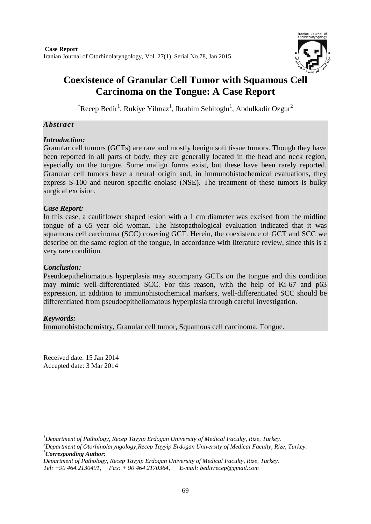

# **Coexistence of Granular Cell Tumor with Squamous Cell Carcinoma on the Tongue: A Case Report**

 $\mathrm{``Recep~Bedir}^{1}$ , Rukiye Yilmaz $^{1}$ , Ibrahim Sehitoglu $^{1}$ , Abdulkadir Ozgur $^{2}$ 

## *Abstract*

## *Introduction:*

Granular cell tumors (GCTs) are rare and mostly benign soft tissue tumors. Though they have been reported in all parts of body, they are generally located in the head and neck region, especially on the tongue. Some malign forms exist, but these have been rarely reported. Granular cell tumors have a neural origin and, in immunohistochemical evaluations, they express S-100 and neuron specific enolase (NSE). The treatment of these tumors is bulky surgical excision.

## *Case Report:*

In this case, a cauliflower shaped lesion with a 1 cm diameter was excised from the midline tongue of a 65 year old woman. The histopathological evaluation indicated that it was squamous cell carcinoma (SCC) covering GCT. Herein, the coexistence of GCT and SCC we describe on the same region of the tongue, in accordance with literature review, since this is a very rare condition.

## *Conclusion:*

Pseudoepitheliomatous hyperplasia may accompany GCTs on the tongue and this condition may mimic well-differentiated SCC. For this reason, with the help of Ki-67 and p63 expression, in addition to immunohistochemical markers, well-differentiated SCC should be differentiated from pseudoepitheliomatous hyperplasia through careful investigation.

## *Keywords:*

Immunohistochemistry, Granular cell tumor, Squamous cell carcinoma, Tongue.

Received date: 15 Jan 2014 Accepted date: 3 Mar 2014

<sup>1</sup> *<sup>1</sup>Department of Pathology, Recep Tayyip Erdogan University of Medical Faculty, Rize, Turkey.*

*<sup>2</sup>Department of Otorhinolaryngology,Recep Tayyip Erdogan University of Medical Faculty, Rize, Turkey. \*Corresponding Author:*

*Department of Pathology, Recep Tayyip Erdogan University of Medical Faculty, Rize, Turkey. Tel: +90 464.2130491, Fax: + 90 464 2170364, E-mail: [bedirrecep@gmail.com](mailto:bedirrecep@gmail.com)*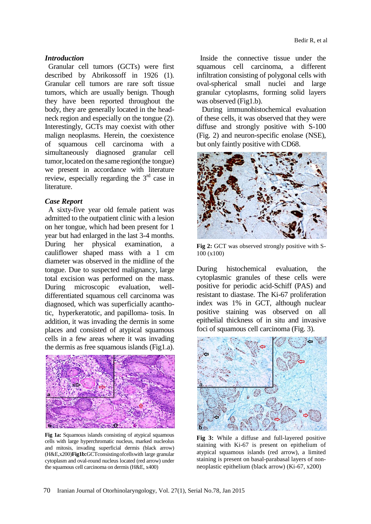#### *Introduction*

Granular cell tumors (GCTs) were first described by Abrikossoff in 1926 (1). Granular cell tumors are rare soft tissue tumors, which are usually benign. Though they have been reported throughout the body, they are generally located in the headneck region and especially on the tongue (2). Interestingly, GCTs may coexist with other malign neoplasms. Herein, the coexistence of squamous cell carcinoma with a simultaneously diagnosed granular cell tumor,locatedon thesame region(the tongue) we present in accordance with literature review, especially regarding the  $3<sup>rd</sup>$  case in literature.

#### *Case Report*

A sixty-five year old female patient was admitted to the outpatient clinic with a lesion on her tongue, which had been present for 1 year but had enlarged in the last 3-4 months. During her physical examination, a cauliflower shaped mass with a 1 cm diameter was observed in the midline of the tongue. Due to suspected malignancy, large total excision was performed on the mass. During microscopic evaluation, welldifferentiated squamous cell carcinoma was diagnosed, which was superficially acanthotic, hyperkeratotic, and papilloma- tosis. In addition, it was invading the dermis in some places and consisted of atypical squamous cells in a few areas where it was invading the dermis as free squamous islands (Fig1.a).



**Fig 1a:** Squamous islands consisting of atypical squamous cells with large hyperchromatic nucleus, marked nucleolus and mitosis, invading superficial dermis (black arrow) (H&E,x200)**Fig1b:**GCTconsistingofcellswith large granular cytoplasm and oval-round nucleus located (red arrow) under the squamous cell carcinoma on dermis (H&E, x400)

 Inside the connective tissue under the squamous cell carcinoma, a different infiltration consisting of polygonal cells with oval-spherical small nuclei and large granular cytoplasms, forming solid layers was observed (Fig1.b).

During immunohistochemical evaluation of these cells, it was observed that they were diffuse and strongly positive with S-100 (Fig. 2) and neuron-specific enolase (NSE), but only faintly positive with CD68.



**Fig 2:** GCT was observed strongly positive with S-100 (x100)

During histochemical evaluation, the cytoplasmic granules of these cells were positive for periodic acid-Schiff (PAS) and resistant to diastase. The Ki-67 proliferation index was 1% in GCT, although nuclear positive staining was observed on all epithelial thickness of in situ and invasive foci of squamous cell carcinoma (Fig. 3).



**Fig 3:** While a diffuse and full-layered positive staining with Ki-67 is present on epithelium of atypical squamous islands (red arrow), a limited staining is present on basal-parabasal layers of nonneoplastic epithelium (black arrow) (Ki-67, x200)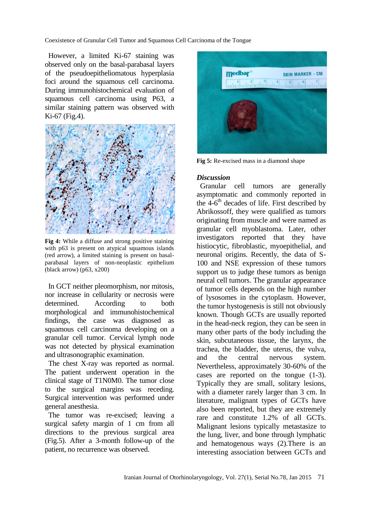Coexistence of Granular Cell Tumor and Squamous Cell Carcinoma of the Tongue

However, a limited Ki-67 staining was observed only on the basal-parabasal layers of the pseudoepitheliomatous hyperplasia foci around the squamous cell carcinoma. During immunohistochemical evaluation of squamous cell carcinoma using P63, a similar staining pattern was observed with Ki-67 (Fig.4).



**Fig 4:** While a diffuse and strong positive staining with p63 is present on atypical squamous islands (red arrow), a limited staining is present on basalparabasal layers of non-neoplastic epithelium (black arrow) (p63, x200)

In GCT neither pleomorphism, nor mitosis, nor increase in cellularity or necrosis were determined. According to both morphological and immunohistochemical findings, the case was diagnosed as squamous cell carcinoma developing on a granular cell tumor. Cervical lymph node was not detected by physical examination and ultrasonographic examination.

The chest X-ray was reported as normal. The patient underwent operation in the clinical stage of T1N0M0. The tumor close to the surgical margins was receding. Surgical intervention was performed under general anesthesia.

The tumor was re-excised; leaving a surgical safety margin of 1 cm from all directions to the previous surgical area (Fig.5). After a 3-month follow-up of the patient, no recurrence was observed.



**Fig 5:** Re-excised mass in a diamond shape

#### *Discussion*

Granular cell tumors are generally asymptomatic and commonly reported in the 4-6<sup>th</sup> decades of life. First described by Abrikossoff, they were qualified as tumors originating from muscle and were named as granular cell myoblastoma. Later, other investigators reported that they have histiocytic, fibroblastic, myoepithelial, and neuronal origins. Recently, the data of S-100 and NSE expression of these tumors support us to judge these tumors as benign neural cell tumors. The granular appearance of tumor cells depends on the high number of lysosomes in the cytoplasm. However, the tumor hystogenesis is still not obviously known. Though GCTs are usually reported in the head-neck region, they can be seen in many other parts of the body including the skin, subcutaneous tissue, the larynx, the trachea, the bladder, the uterus, the vulva, and the central nervous system. Nevertheless, approximately 30-60% of the cases are reported on the tongue (1-3). Typically they are small, solitary lesions, with a diameter rarely larger than 3 cm. In literature, malignant types of GCTs have also been reported, but they are extremely rare and constitute 1.2% of all GCTs. Malignant lesions typically metastasize to the lung, liver, and bone through lymphatic and hematogenous ways (2).There is an interesting association between GCTs and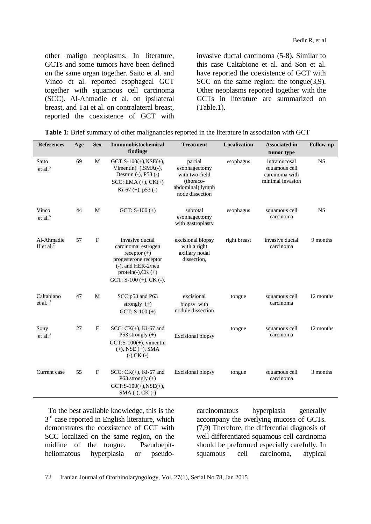Bedir R, et al

other malign neoplasms. In literature, GCTs and some tumors have been defined on the same organ together. Saito et al. and Vinco et al. reported esophageal GCT together with squamous cell carcinoma (SCC). Al-Ahmadie et al. on ipsilateral breast, and Tai et al. on contralateral breast, reported the coexistence of GCT with

invasive ductal carcinoma (5-8). Similar to this case Caltabione et al. and Son et al. have reported the coexistence of GCT with SCC on the same region: the tongue(3,9). Other neoplasms reported together with the GCTs in literature are summarized on (Table.1).

| <b>References</b>            | Age | <b>Sex</b>     | <b>Immunohistochemical</b><br>findings                                                                                                                              | <b>Treatment</b>                                                                               | Localization | <b>Associated in</b><br>tumor type                                  | <b>Follow-up</b> |
|------------------------------|-----|----------------|---------------------------------------------------------------------------------------------------------------------------------------------------------------------|------------------------------------------------------------------------------------------------|--------------|---------------------------------------------------------------------|------------------|
| Saito<br>et al. $5$          | 69  | M              | $GCT: S-100(+)$ , $NSE(+)$ ,<br>$Vimentin(+), SMA(-),$<br>Desmin (-), P53 (-)<br>$SCC: EMA (+), CK(+)$<br>Ki-67 $(+)$ , p53 $(-)$                                   | partial<br>esophagectomy<br>with two-field<br>(thoraco-<br>abdominal) lymph<br>node dissection | esophagus    | intramucosal<br>squamous cell<br>carcinoma with<br>minimal invasion | <b>NS</b>        |
| Vinco<br>et al. <sup>6</sup> | 44  | M              | GCT: $S-100 (+)$                                                                                                                                                    | subtotal<br>esophagectomy<br>with gastroplasty                                                 | esophagus    | squamous cell<br>carcinoma                                          | <b>NS</b>        |
| Al-Ahmadie<br>H et al. $7$   | 57  | ${\bf F}$      | invasive ductal<br>carcinoma: estrogen<br>receptor $(+)$<br>progesterone receptor<br>$(-)$ , and HER-2/neu<br>protein(-), $CK$ (+)<br>GCT: $S-100 (+)$ , CK $(-)$ . | excisional biopsy<br>with a right<br>axillary nodal<br>dissection,                             | right breast | invasive ductal<br>carcinoma                                        | 9 months         |
| Caltabiano<br>et al. $9$     | 47  | M              | SCC:p53 and P63<br>strongly $(+)$<br>GCT: $S-100 (+)$                                                                                                               | excisional<br>biopsy with<br>nodule dissection                                                 | tongue       | squamous cell<br>carcinoma                                          | 12 months        |
| Sony<br>et al. $3$           | 27  | $\overline{F}$ | $SCC: CK(+), Ki-67$ and<br>P53 strongly $(+)$<br>$GCT: S-100(+)$ , vimentin<br>$(+)$ , NSE $(+)$ , SMA<br>$(-)$ , CK $(-)$                                          | <b>Excisional biopsy</b>                                                                       | tongue       | squamous cell<br>carcinoma                                          | 12 months        |
| Current case                 | 55  | ${\bf F}$      | $SCC: CK(+)$ , Ki-67 and<br>P63 strongly $(+)$<br>$GCT: S-100(+), NSE(+),$<br>SMA (-), CK (-)                                                                       | <b>Excisional biopsy</b>                                                                       | tongue       | squamous cell<br>carcinoma                                          | 3 months         |

|  |  |  | Table 1: Brief summary of other malignancies reported in the literature in association with GCT |  |
|--|--|--|-------------------------------------------------------------------------------------------------|--|
|--|--|--|-------------------------------------------------------------------------------------------------|--|

To the best available knowledge, this is the 3<sup>rd</sup> case reported in English literature, which demonstrates the coexistence of GCT with SCC localized on the same region, on the midline of the tongue. Pseudoepitheliomatous hyperplasia or pseudocarcinomatous hyperplasia generally accompany the overlying mucosa of GCTs. (7,9) Therefore, the differential diagnosis of well-differentiated squamous cell carcinoma should be preformed especially carefully. In squamous cell carcinoma, atypical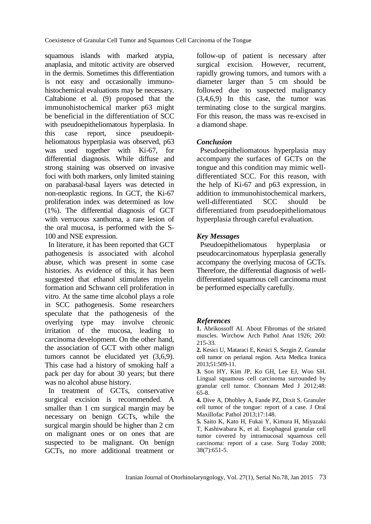squamous islands with marked atypia, anaplasia, and mitotic activity are observed in the dermis. Sometimes this differentiation is not easy and occasionally immunohistochemical evaluations may be necessary. Caltabione et al. (9) proposed that the immunohistochemical marker p63 might be beneficial in the differentiation of SCC with pseudoepitheliomatous hyperplasia. In this case report, since pseudoepitheliomatous hyperplasia was observed, p63 was used together with Ki-67, for differential diagnosis. While diffuse and strong staining was observed on invasive foci with both markers, only limited staining on parabasal-basal layers was detected in non-neoplastic regions. In GCT, the Ki-67 proliferation index was determined as low (1%). The differential diagnosis of GCT with verrucous xanthoma, a rare lesion of the oral mucosa, is performed with the S-100 and NSE expression.

In literature, it has been reported that GCT pathogenesis is associated with alcohol abuse, which was present in some case histories. As evidence of this, it has been suggested that ethanol stimulates myelin formation and Schwann cell proliferation in vitro. At the same time alcohol plays a role in SCC pathogenesis. Some researchers speculate that the pathogenesis of the overlying type may involve chronic irritation of the mucosa, leading to carcinoma development. On the other hand, the association of GCT with other malign tumors cannot be elucidated yet (3,6,9). This case had a history of smoking half a pack per day for about 30 years; but there was no alcohol abuse history.

In treatment of GCTs, conservative surgical excision is recommended. A smaller than 1 cm surgical margin may be necessary on benign GCTs, while the surgical margin should be higher than 2 cm on malignant ones or on ones that are suspected to be malignant. On benign GCTs, no more additional treatment or follow-up of patient is necessary after surgical excision. However, recurrent, rapidly growing tumors, and tumors with a diameter larger than 5 cm should be followed due to suspected malignancy (3,4,6,9) In this case, the tumor was terminating close to the surgical margins. For this reason, the mass was re-excised in a diamond shape.

## *Conclusion*

Pseudoepitheliomatous hyperplasia may accompany the surfaces of GCTs on the tongue and this condition may mimic welldifferentiated SCC. For this reason, with the help of Ki-67 and p63 expression, in addition to immunohistochemical markers, well-differentiated SCC should be differentiated from pseudoepitheliomatous hyperplasia through careful evaluation.

## *Key Messages*

Pseudoepitheliomatous hyperplasia or pseudocarcinomatous hyperplasia generally accompany the overlying mucosa of GCTs. Therefore, the differential diagnosis of welldifferentiated squamous cell carcinoma must be performed especially carefully.

## *References*

- **1.** Abrikossoff AI. About Fibromas of the striated muscles. Wirchow Arch Pathol Anat 1926; 260: 215-33.
- **2.** Kesici U, Mataraci E, Kesici S, Sezgin Z. Granular cell tumor on perianal region. Acta Medica Iranica 2013;51:509-11.
- **3.** [Son HY,](http://www.ncbi.nlm.nih.gov/pubmed?term=Son%20HY%5BAuthor%5D&cauthor=true&cauthor_uid=22570819) [Kim JP,](http://www.ncbi.nlm.nih.gov/pubmed?term=Kim%20JP%5BAuthor%5D&cauthor=true&cauthor_uid=22570819) [Ko GH,](http://www.ncbi.nlm.nih.gov/pubmed?term=Ko%20GH%5BAuthor%5D&cauthor=true&cauthor_uid=22570819) [Lee EJ,](http://www.ncbi.nlm.nih.gov/pubmed?term=Lee%20EJ%5BAuthor%5D&cauthor=true&cauthor_uid=22570819) [Woo SH.](http://www.ncbi.nlm.nih.gov/pubmed?term=Woo%20SH%5BAuthor%5D&cauthor=true&cauthor_uid=22570819) Lingual squamous cell carcinoma surrounded by granular cell tumor. [Chonnam Med J](http://www.ncbi.nlm.nih.gov/pubmed/?term=Son+HY%2C+granuler+cell+tumor) 2012;48: 65-8.
- **4.** Dive A, Dhobley A, Fande PZ, Dixit S. Granuler cell tumor of the tongue: report of a case. J Oral Maxillofac Pathol 2013;17:148.
- **5.** Saito K, Kato H, Fukai Y, Kimura H, Miyazaki T, Kashiwabara K, et al. [Esophageal granular cell](http://www.ncbi.nlm.nih.gov/pubmed/18612793)  tumor [covered by intramucosal squamous cell](http://www.ncbi.nlm.nih.gov/pubmed/18612793) [carcinoma: report of a case.](http://www.ncbi.nlm.nih.gov/pubmed/18612793) Surg Today 2008; 38(7):651-5.